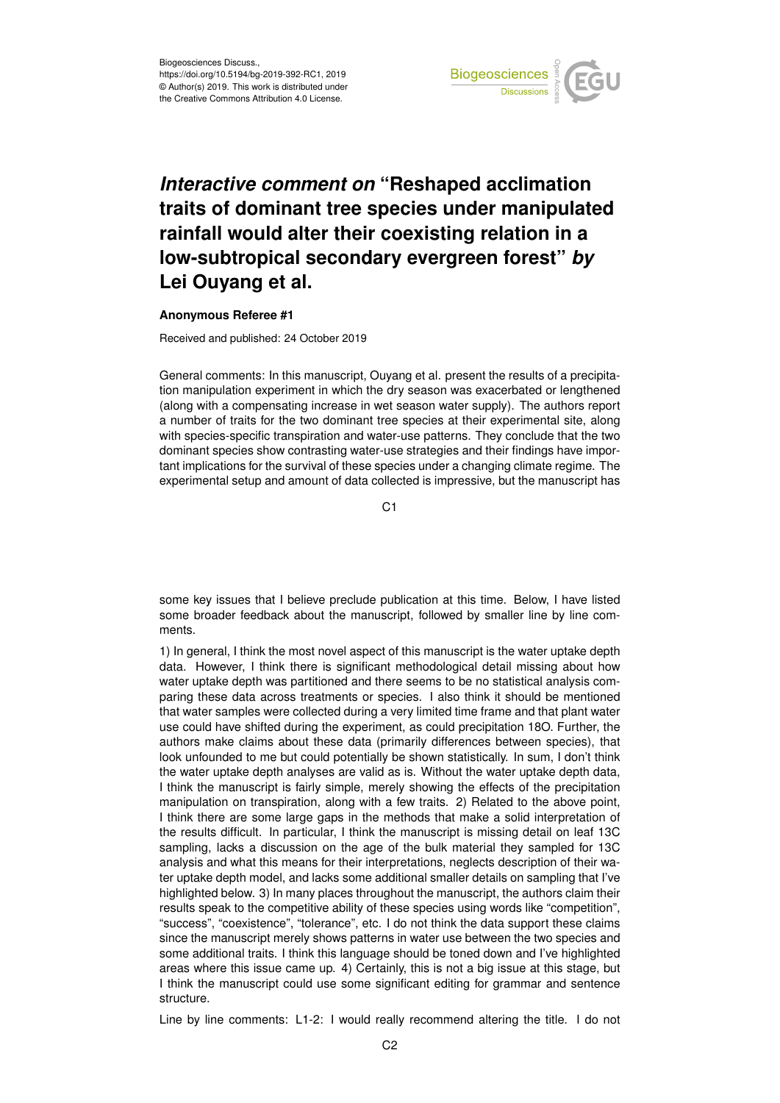

## *Interactive comment on* **"Reshaped acclimation traits of dominant tree species under manipulated rainfall would alter their coexisting relation in a low-subtropical secondary evergreen forest"** *by* **Lei Ouyang et al.**

## **Anonymous Referee #1**

Received and published: 24 October 2019

General comments: In this manuscript, Ouyang et al. present the results of a precipitation manipulation experiment in which the dry season was exacerbated or lengthened (along with a compensating increase in wet season water supply). The authors report a number of traits for the two dominant tree species at their experimental site, along with species-specific transpiration and water-use patterns. They conclude that the two dominant species show contrasting water-use strategies and their findings have important implications for the survival of these species under a changing climate regime. The experimental setup and amount of data collected is impressive, but the manuscript has

C1

some key issues that I believe preclude publication at this time. Below, I have listed some broader feedback about the manuscript, followed by smaller line by line comments.

1) In general, I think the most novel aspect of this manuscript is the water uptake depth data. However, I think there is significant methodological detail missing about how water uptake depth was partitioned and there seems to be no statistical analysis comparing these data across treatments or species. I also think it should be mentioned that water samples were collected during a very limited time frame and that plant water use could have shifted during the experiment, as could precipitation 18O. Further, the authors make claims about these data (primarily differences between species), that look unfounded to me but could potentially be shown statistically. In sum, I don't think the water uptake depth analyses are valid as is. Without the water uptake depth data, I think the manuscript is fairly simple, merely showing the effects of the precipitation manipulation on transpiration, along with a few traits. 2) Related to the above point, I think there are some large gaps in the methods that make a solid interpretation of the results difficult. In particular, I think the manuscript is missing detail on leaf 13C sampling, lacks a discussion on the age of the bulk material they sampled for 13C analysis and what this means for their interpretations, neglects description of their water uptake depth model, and lacks some additional smaller details on sampling that I've highlighted below. 3) In many places throughout the manuscript, the authors claim their results speak to the competitive ability of these species using words like "competition", "success", "coexistence", "tolerance", etc. I do not think the data support these claims since the manuscript merely shows patterns in water use between the two species and some additional traits. I think this language should be toned down and I've highlighted areas where this issue came up. 4) Certainly, this is not a big issue at this stage, but I think the manuscript could use some significant editing for grammar and sentence structure.

Line by line comments: L1-2: I would really recommend altering the title. I do not